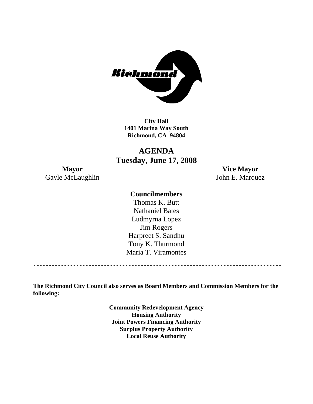

**City Hall 1401 Marina Way South Richmond, CA 94804** 

# **AGENDA Tuesday, June 17, 2008**

**Mayor Vice Mayor**  Gayle McLaughlin John E. Marquez

#### **Councilmembers**

Harpreet S. Sandhu Tony K. Thurmond Maria T. Viramontes Thomas K. Butt Nathaniel Bates Ludmyrna Lopez Jim Rogers

**The Richmond City Council also serves as Board Members and Commission Members for the following:** 

> **Community Redevelopment Agency Housing Authority Joint Powers Financing Authority Surplus Property Authority Local Reuse Authority**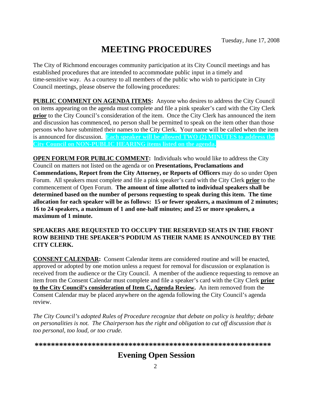# **MEETING PROCEDURES**

The City of Richmond encourages community participation at its City Council meetings and has established procedures that are intended to accommodate public input in a timely and time-sensitive way. As a courtesy to all members of the public who wish to participate in City Council meetings, please observe the following procedures:

**PUBLIC COMMENT ON AGENDA ITEMS:** Anyone who desires to address the City Council on items appearing on the agenda must complete and file a pink speaker's card with the City Clerk **prior** to the City Council's consideration of the item. Once the City Clerk has announced the item and discussion has commenced, no person shall be permitted to speak on the item other than those persons who have submitted their names to the City Clerk. Your name will be called when the item is announced for discussion. **Each speaker will be allowed TWO (2) MINUTES to address the City Council on NON-PUBLIC HEARING items listed on the agenda.** 

**OPEN FORUM FOR PUBLIC COMMENT:** Individuals who would like to address the City Council on matters not listed on the agenda or on **Presentations, Proclamations and Commendations, Report from the City Attorney, or Reports of Officers** may do so under Open Forum. All speakers must complete and file a pink speaker's card with the City Clerk **prior** to the commencement of Open Forum. **The amount of time allotted to individual speakers shall be determined based on the number of persons requesting to speak during this item. The time allocation for each speaker will be as follows: 15 or fewer speakers, a maximum of 2 minutes; 16 to 24 speakers, a maximum of 1 and one-half minutes; and 25 or more speakers, a maximum of 1 minute.** 

#### **SPEAKERS ARE REQUESTED TO OCCUPY THE RESERVED SEATS IN THE FRONT ROW BEHIND THE SPEAKER'S PODIUM AS THEIR NAME IS ANNOUNCED BY THE CITY CLERK.**

**CONSENT CALENDAR:** Consent Calendar items are considered routine and will be enacted, approved or adopted by one motion unless a request for removal for discussion or explanation is received from the audience or the City Council. A member of the audience requesting to remove an item from the Consent Calendar must complete and file a speaker's card with the City Clerk **prior to the City Council's consideration of Item C, Agenda Review.** An item removed from the Consent Calendar may be placed anywhere on the agenda following the City Council's agenda review.

*The City Council's adopted Rules of Procedure recognize that debate on policy is healthy; debate on personalities is not. The Chairperson has the right and obligation to cut off discussion that is too personal, too loud, or too crude.* 

**\*\*\*\*\*\*\*\*\*\*\*\*\*\*\*\*\*\*\*\*\*\*\*\*\*\*\*\*\*\*\*\*\*\*\*\*\*\*\*\*\*\*\*\*\*\*\*\*\*\*\*\*\*\*\*\*\*\***

# **Evening Open Session**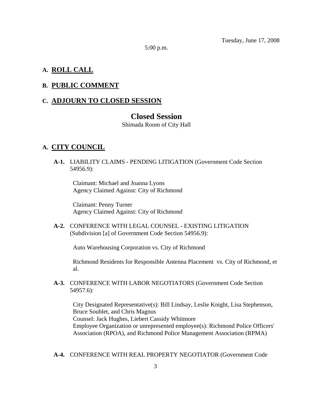Tuesday, June 17, 2008

5:00 p.m.

#### **A. ROLL CALL**

#### **B. PUBLIC COMMENT**

#### **C. ADJOURN TO CLOSED SESSION**

#### **Closed Session**

Shimada Room of City Hall

#### **A. CITY COUNCIL**

 **A-1.** LIABILITY CLAIMS - PENDING LITIGATION (Government Code Section 54956.9):

Claimant: Michael and Joanna Lyons Agency Claimed Against: City of Richmond

Claimant: Penny Turner Agency Claimed Against: City of Richmond

 **A-2.** CONFERENCE WITH LEGAL COUNSEL - EXISTING LITIGATION (Subdivision [a] of Government Code Section 54956.9):

Auto Warehousing Corporation vs. City of Richmond

Richmond Residents for Responsible Antenna Placement vs. City of Richmond, et al.

 **A-3.** CONFERENCE WITH LABOR NEGOTIATORS (Government Code Section 54957.6):

City Designated Representative(s): Bill Lindsay, Leslie Knight, Lisa Stephenson, Bruce Soublet, and Chris Magnus Counsel: Jack Hughes, Liebert Cassidy Whitmore Employee Organization or unrepresented employee(s): Richmond Police Officers' Association (RPOA), and Richmond Police Management Association (RPMA)

 **A-4.** CONFERENCE WITH REAL PROPERTY NEGOTIATOR (Government Code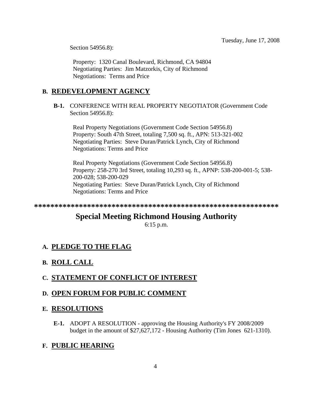Section 54956.8):

Property: 1320 Canal Boulevard, Richmond, CA 94804 Negotiating Parties: Jim Matzorkis, City of Richmond Negotiations: Terms and Price

#### **B. REDEVELOPMENT AGENCY**

 **B-1.** CONFERENCE WITH REAL PROPERTY NEGOTIATOR (Government Code Section 54956.8):

Real Property Negotiations (Government Code Section 54956.8) Property: South 47th Street, totaling 7,500 sq. ft., APN: 513-321-002 Negotiating Parties: Steve Duran/Patrick Lynch, City of Richmond Negotiations: Terms and Price

Real Property Negotiations (Government Code Section 54956.8) Property: 258-270 3rd Street, totaling 10,293 sq. ft., APNP: 538-200-001-5; 538- 200-028; 538-200-029 Negotiating Parties: Steve Duran/Patrick Lynch, City of Richmond Negotiations: Terms and Price

**\*\*\*\*\*\*\*\*\*\*\*\*\*\*\*\*\*\*\*\*\*\*\*\*\*\*\*\*\*\*\*\*\*\*\*\*\*\*\*\*\*\*\*\*\*\*\*\*\*\*\*\*\*\*\*\*\*\*\*\*** 

# **Special Meeting Richmond Housing Authority**

6:15 p.m.

### **A. PLEDGE TO THE FLAG**

#### **B. ROLL CALL**

#### **C. STATEMENT OF CONFLICT OF INTEREST**

#### **D. OPEN FORUM FOR PUBLIC COMMENT**

#### **E. RESOLUTIONS**

 **E-1.** ADOPT A RESOLUTION - approving the Housing Authority's FY 2008/2009 budget in the amount of \$27,627,172 - Housing Authority (Tim Jones 621-1310).

#### **F. PUBLIC HEARING**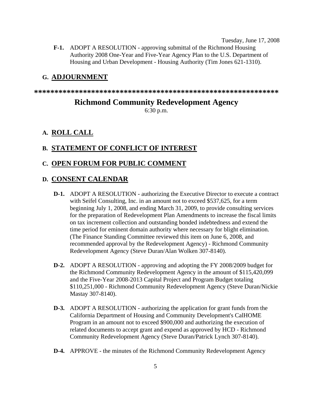Tuesday, June 17, 2008

 **F-1.** ADOPT A RESOLUTION - approving submittal of the Richmond Housing Authority 2008 One-Year and Five-Year Agency Plan to the U.S. Department of Housing and Urban Development - Housing Authority (Tim Jones 621-1310).

#### **G. ADJOURNMENT**

**\*\*\*\*\*\*\*\*\*\*\*\*\*\*\*\*\*\*\*\*\*\*\*\*\*\*\*\*\*\*\*\*\*\*\*\*\*\*\*\*\*\*\*\*\*\*\*\*\*\*\*\*\*\*\*\*\*\*\*\*** 

## **Richmond Community Redevelopment Agency**

6:30 p.m.

#### **A. ROLL CALL**

#### **B. STATEMENT OF CONFLICT OF INTEREST**

#### **C. OPEN FORUM FOR PUBLIC COMMENT**

#### **D. CONSENT CALENDAR**

- **D-1.** ADOPT A RESOLUTION authorizing the Executive Director to execute a contract with Seifel Consulting, Inc. in an amount not to exceed \$537,625, for a term beginning July 1, 2008, and ending March 31, 2009, to provide consulting services for the preparation of Redevelopment Plan Amendments to increase the fiscal limits on tax increment collection and outstanding bonded indebtedness and extend the time period for eminent domain authority where necessary for blight elimination. (The Finance Standing Committee reviewed this item on June 6, 2008, and recommended approval by the Redevelopment Agency) - Richmond Community Redevelopment Agency (Steve Duran/Alan Wolken 307-8140).
- **D-2.** ADOPT A RESOLUTION approving and adopting the FY 2008/2009 budget for the Richmond Community Redevelopment Agency in the amount of \$115,420,099 and the Five-Year 2008-2013 Capital Project and Program Budget totaling \$110,251,000 - Richmond Community Redevelopment Agency (Steve Duran/Nickie Mastay 307-8140).
- **D-3.** ADOPT A RESOLUTION authorizing the application for grant funds from the California Department of Housing and Community Development's CalHOME Program in an amount not to exceed \$900,000 and authorizing the execution of related documents to accept grant and expend as approved by HCD - Richmond Community Redevelopment Agency (Steve Duran/Patrick Lynch 307-8140).
- **D-4.** APPROVE the minutes of the Richmond Community Redevelopment Agency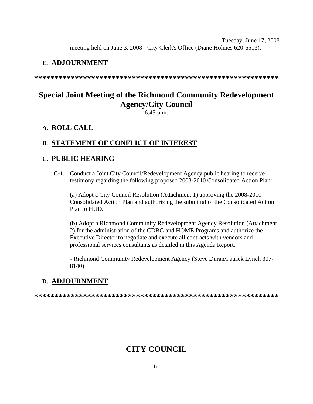Tuesday, June 17, 2008 meeting held on June 3, 2008 - City Clerk's Office (Diane Holmes 620-6513).

#### **E. ADJOURNMENT**

**\*\*\*\*\*\*\*\*\*\*\*\*\*\*\*\*\*\*\*\*\*\*\*\*\*\*\*\*\*\*\*\*\*\*\*\*\*\*\*\*\*\*\*\*\*\*\*\*\*\*\*\*\*\*\*\*\*\*\*\*** 

# **Special Joint Meeting of the Richmond Community Redevelopment Agency/City Council**

6:45 p.m.

#### **A. ROLL CALL**

#### **B. STATEMENT OF CONFLICT OF INTEREST**

#### **C. PUBLIC HEARING**

 **C-1.** Conduct a Joint City Council/Redevelopment Agency public hearing to receive testimony regarding the following proposed 2008-2010 Consolidated Action Plan:

(a) Adopt a City Council Resolution (Attachment 1) approving the 2008-2010 Consolidated Action Plan and authorizing the submittal of the Consolidated Action Plan to HUD.

(b) Adopt a Richmond Community Redevelopment Agency Resolution (Attachment 2) for the administration of the CDBG and HOME Programs and authorize the Executive Director to negotiate and execute all contracts with vendors and professional services consultants as detailed in this Agenda Report.

- Richmond Community Redevelopment Agency (Steve Duran/Patrick Lynch 307- 8140)

#### **D. ADJOURNMENT**

**\*\*\*\*\*\*\*\*\*\*\*\*\*\*\*\*\*\*\*\*\*\*\*\*\*\*\*\*\*\*\*\*\*\*\*\*\*\*\*\*\*\*\*\*\*\*\*\*\*\*\*\*\*\*\*\*\*\*\*\*** 

# **CITY COUNCIL**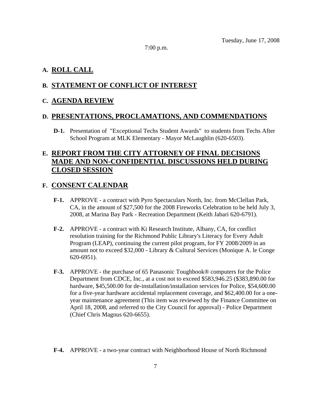7:00 p.m.

#### **A. ROLL CALL**

#### **B. STATEMENT OF CONFLICT OF INTEREST**

#### **C. AGENDA REVIEW**

#### **D. PRESENTATIONS, PROCLAMATIONS, AND COMMENDATIONS**

 **D-1.** Presentation of "Exceptional Techs Student Awards" to students from Techs After School Program at MLK Elementary - Mayor McLaughlin (620-6503).

#### **E. REPORT FROM THE CITY ATTORNEY OF FINAL DECISIONS MADE AND NON-CONFIDENTIAL DISCUSSIONS HELD DURING CLOSED SESSION**

#### **F. CONSENT CALENDAR**

- **F-1.** APPROVE a contract with Pyro Spectaculars North, Inc. from McClellan Park, CA, in the amount of \$27,500 for the 2008 Fireworks Celebration to be held July 3, 2008, at Marina Bay Park - Recreation Department (Keith Jabari 620-6791).
- **F-2.** APPROVE a contract with Ki Research Institute, Albany, CA, for conflict resolution training for the Richmond Public Library's Literacy for Every Adult Program (LEAP), continuing the current pilot program, for FY 2008/2009 in an amount not to exceed \$32,000 - Library & Cultural Services (Monique A. le Conge 620-6951).
- **F-3.** APPROVE the purchase of 65 Panasonic Toughbook® computers for the Police Department from CDCE, Inc., at a cost not to exceed \$583,946.25 (\$383,890.00 for hardware, \$45,500.00 for de-installation/installation services for Police, \$54,600.00 for a five-year hardware accidental replacement coverage, and \$62,400.00 for a oneyear maintenance agreement (This item was reviewed by the Finance Committee on April 18, 2008, and referred to the City Council for approval) - Police Department (Chief Chris Magnus 620-6655).
- **F-4.** APPROVE a two-year contract with Neighborhood House of North Richmond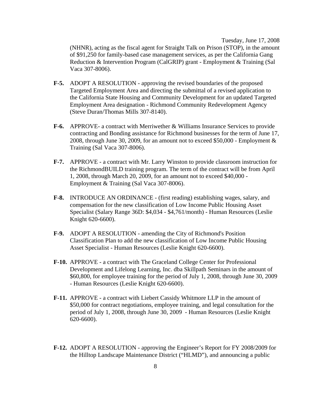Tuesday, June 17, 2008 (NHNR), acting as the fiscal agent for Straight Talk on Prison (STOP), in the amount of \$91,250 for family-based case management services, as per the California Gang Reduction & Intervention Program (CalGRIP) grant - Employment & Training (Sal Vaca 307-8006).

- **F-5.** ADOPT A RESOLUTION approving the revised boundaries of the proposed Targeted Employment Area and directing the submittal of a revised application to the California State Housing and Community Development for an updated Targeted Employment Area designation - Richmond Community Redevelopment Agency (Steve Duran/Thomas Mills 307-8140).
- **F-6.** APPROVE- a contract with Merriwether & Williams Insurance Services to provide contracting and Bonding assistance for Richmond businesses for the term of June 17, 2008, through June 30, 2009, for an amount not to exceed \$50,000 - Employment & Training (Sal Vaca 307-8006).
- **F-7.** APPROVE a contract with Mr. Larry Winston to provide classroom instruction for the RichmondBUILD training program. The term of the contract will be from April 1, 2008, through March 20, 2009, for an amount not to exceed \$40,000 - Employment & Training (Sal Vaca 307-8006).
- **F-8.** INTRODUCE AN ORDINANCE (first reading) establishing wages, salary, and compensation for the new classification of Low Income Public Housing Asset Specialist (Salary Range 36D: \$4,034 - \$4,761/month) - Human Resources (Leslie Knight 620-6600).
- **F-9.** ADOPT A RESOLUTION amending the City of Richmond's Position Classification Plan to add the new classification of Low Income Public Housing Asset Specialist - Human Resources (Leslie Knight 620-6600).
- **F-10.** APPROVE a contract with The Graceland College Center for Professional Development and Lifelong Learning, Inc. dba Skillpath Seminars in the amount of \$60,800, for employee training for the period of July 1, 2008, through June 30, 2009 - Human Resources (Leslie Knight 620-6600).
- **F-11.** APPROVE a contract with Liebert Cassidy Whitmore LLP in the amount of \$50,000 for contract negotiations, employee training, and legal consultation for the period of July 1, 2008, through June 30, 2009 - Human Resources (Leslie Knight 620-6600).
- **F-12.** ADOPT A RESOLUTION approving the Engineer's Report for FY 2008/2009 for the Hilltop Landscape Maintenance District ("HLMD"), and announcing a public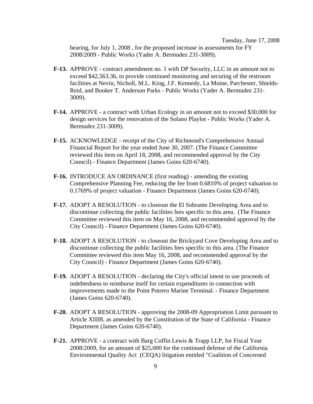Tuesday, June 17, 2008 hearing, for July 1, 2008 , for the proposed increase in assessments for FY 2008/2009 - Public Works (Yader A. Bermudez 231-3009).

- **F-13.** APPROVE contract amendment no. 1 with DP Security, LLC in an amount not to exceed \$42,563.36, to provide continued monitoring and securing of the restroom facilities at Nevin, Nicholl, M.L. King, J.F. Kennedy, La Moine, Parchester, Shields-Reid, and Booker T. Anderson Parks - Public Works (Yader A. Bermudez 231- 3009).
- **F-14.** APPROVE a contract with Urban Ecology in an amount not to exceed \$30,000 for design services for the renovation of the Solano Playlot - Public Works (Yader A. Bermudez 231-3009).
- **F-15.** ACKNOWLEDGE receipt of the City of Richmond's Comprehensive Annual Financial Report for the year ended June 30, 2007. (The Finance Committee reviewed this item on April 18, 2008, and recommended approval by the City Council) - Finance Department (James Goins 620-6740).
- **F-16.** INTRODUCE AN ORDINANCE (first reading) amending the existing Comprehensive Planning Fee, reducing the fee from 0.6810% of project valuation to 0.1769% of project valuation - Finance Department (James Goins 620-6740).
- **F-17.** ADOPT A RESOLUTION to closeout the El Sobrante Developing Area and to discontinue collecting the public facilities fees specific to this area. (The Finance Committee reviewed this item on May 16, 2008, and recommended approval by the City Council) - Finance Department (James Goins 620-6740).
- **F-18.** ADOPT A RESOLUTION to closeout the Brickyard Cove Developing Area and to discontinue collecting the public facilities fees specific to this area. (The Finance Committee reviewed this item May 16, 2008, and recommended approval by the City Council) - Finance Department (James Goins 620-6740).
- **F-19.** ADOPT A RESOLUTION declaring the City's official intent to use proceeds of indebtedness to reimburse itself for certain expenditures in connection with improvements made to the Point Potrero Marine Terminal. - Finance Department (James Goins 620-6740).
- **F-20.** ADOPT A RESOLUTION approving the 2008-09 Appropriation Limit pursuant to Article XIIIB, as amended by the Constitution of the State of California - Finance Department (James Goins 620-6740).
- **F-21.** APPROVE a contract with Barg Coffin Lewis & Trapp LLP, for Fiscal Year 2008/2009, for an amount of \$25,000 for the continued defense of the California Environmental Quality Act (CEQA) litigation entitled "Coalition of Concerned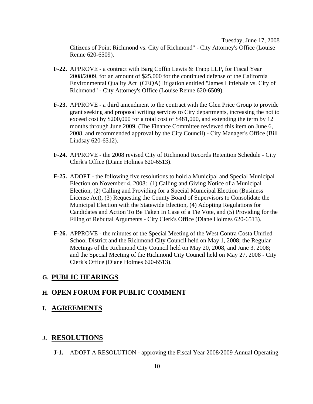Tuesday, June 17, 2008 Citizens of Point Richmond vs. City of Richmond" - City Attorney's Office (Louise Renne 620-6509).

- **F-22.** APPROVE a contract with Barg Coffin Lewis & Trapp LLP, for Fiscal Year 2008/2009, for an amount of \$25,000 for the continued defense of the California Environmental Quality Act (CEQA) litigation entitled "James Littlehale vs. City of Richmond" - City Attorney's Office (Louise Renne 620-6509).
- **F-23.** APPROVE a third amendment to the contract with the Glen Price Group to provide grant seeking and proposal writing services to City departments, increasing the not to exceed cost by \$200,000 for a total cost of \$481,000, and extending the term by 12 months through June 2009. (The Finance Committee reviewed this item on June 6, 2008, and recommended approval by the City Council) - City Manager's Office (Bill Lindsay 620-6512).
- **F-24.** APPROVE the 2008 revised City of Richmond Records Retention Schedule City Clerk's Office (Diane Holmes 620-6513).
- **F-25.** ADOPT the following five resolutions to hold a Municipal and Special Municipal Election on November 4, 2008: (1) Calling and Giving Notice of a Municipal Election, (2) Calling and Providing for a Special Municipal Election (Business License Act), (3) Requesting the County Board of Supervisors to Consolidate the Municipal Election with the Statewide Election, (4) Adopting Regulations for Candidates and Action To Be Taken In Case of a Tie Vote, and (5) Providing for the Filing of Rebuttal Arguments - City Clerk's Office (Diane Holmes 620-6513).
- **F-26.** APPROVE the minutes of the Special Meeting of the West Contra Costa Unified School District and the Richmond City Council held on May 1, 2008; the Regular Meetings of the Richmond City Council held on May 20, 2008, and June 3, 2008; and the Special Meeting of the Richmond City Council held on May 27, 2008 - City Clerk's Office (Diane Holmes 620-6513).

#### **G. PUBLIC HEARINGS**

#### **H. OPEN FORUM FOR PUBLIC COMMENT**

**I. AGREEMENTS**

#### **J. RESOLUTIONS**

 **J-1.** ADOPT A RESOLUTION - approving the Fiscal Year 2008/2009 Annual Operating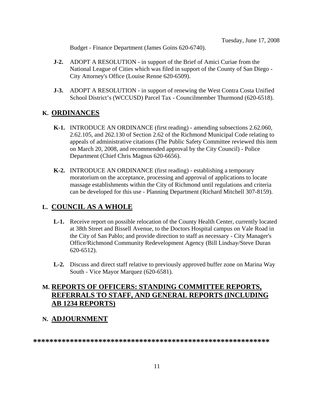Budget - Finance Department (James Goins 620-6740).

- **J-2.** ADOPT A RESOLUTION in support of the Brief of Amici Curiae from the National League of Cities which was filed in support of the County of San Diego - City Attorney's Office (Louise Renne 620-6509).
- **J-3.** ADOPT A RESOLUTION in support of renewing the West Contra Costa Unified School District's (WCCUSD) Parcel Tax - Councilmember Thurmond (620-6518).

#### **K. ORDINANCES**

- **K-1.** INTRODUCE AN ORDINANCE (first reading) amending subsections 2.62.060, 2.62.105, and 262.130 of Section 2.62 of the Richmond Municipal Code relating to appeals of administrative citations (The Public Safety Committee reviewed this item on March 20, 2008, and recommended approval by the City Council) - Police Department (Chief Chris Magnus 620-6656).
- **K-2.** INTRODUCE AN ORDINANCE (first reading) establishing a temporary moratorium on the acceptance, processing and approval of applications to locate massage establishments within the City of Richmond until regulations and criteria can be developed for this use - Planning Department (Richard Mitchell 307-8159).

#### **L. COUNCIL AS A WHOLE**

- **L-1.** Receive report on possible relocation of the County Health Center, currently located at 38th Street and Bissell Avenue, to the Doctors Hospital campus on Vale Road in the City of San Pablo; and provide direction to staff as necessary - City Manager's Office/Richmond Community Redevelopment Agency (Bill Lindsay/Steve Duran 620-6512).
- **L-2.** Discuss and direct staff relative to previously approved buffer zone on Marina Way South - Vice Mayor Marquez (620-6581).

#### **M. REPORTS OF OFFICERS: STANDING COMMITTEE REPORTS, REFERRALS TO STAFF, AND GENERAL REPORTS (INCLUDING AB 1234 REPORTS)**

#### **N. ADJOURNMENT**

**\*\*\*\*\*\*\*\*\*\*\*\*\*\*\*\*\*\*\*\*\*\*\*\*\*\*\*\*\*\*\*\*\*\*\*\*\*\*\*\*\*\*\*\*\*\*\*\*\*\*\*\*\*\*\*\*\*\***